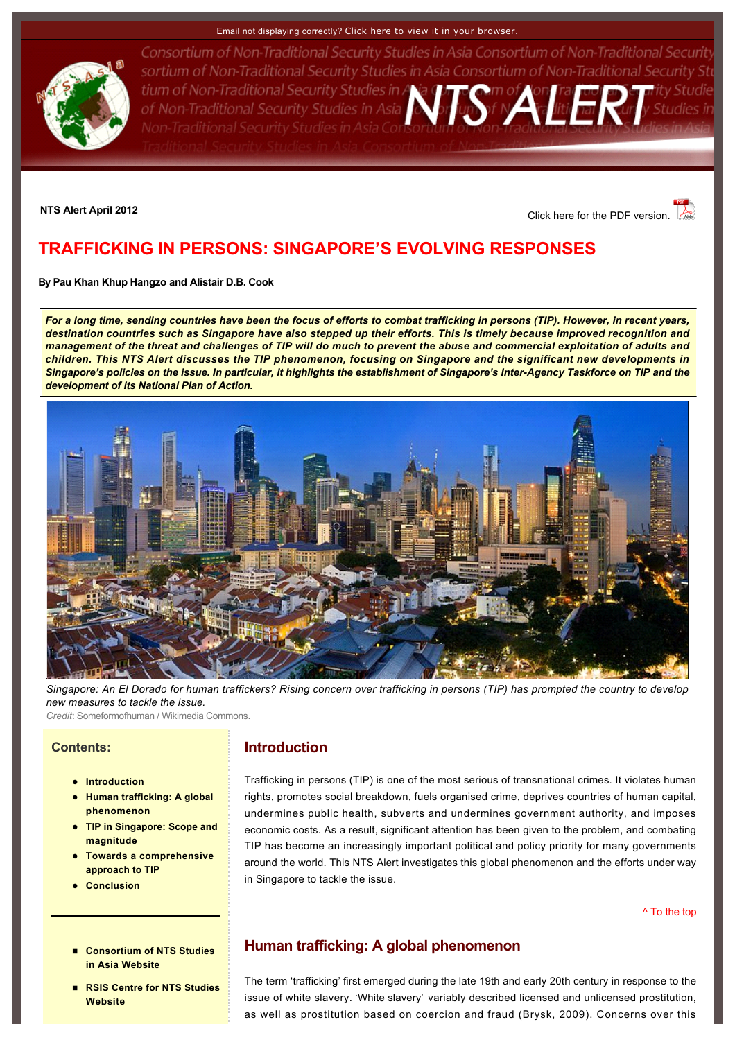#### Email not displaying correctly? [Click here to view it in your browser.](http://www.rsis.edu.sg/nts/html-newsletter/alert/nts-alert-Apr-1201.html)



Consortium of Non-Traditional Security Studies in Asia Consortium of Non-Traditional Security sortium of Non-Traditional Security Studies in Asia Consortium of Non-Traditional Security Stu tium of Non-Traditional Security Studies in Alia Morton of Non-Traditional Security Studies in Asia Non-Traditional Security Studies in Asia Con:

**NTS Alert April 2012** [Click here for the PDF version.](http://www.rsis.edu.sg/nts/HTML-Newsletter/Alert/pdf/NTS_Alert_apr_1201.pdf) 

# <span id="page-0-0"></span>**TRAFFICKING IN PERSONS: SINGAPORE'S EVOLVING RESPONSES**

**By [Pau Khan Khup Hangzo](http://www.rsis.edu.sg/nts/people.asp?sid=72&prev=people) and [Alistair D.B. Cook](http://www.rsis.edu.sg/nts/people.asp?sid=63&prev=people)** 

*For a long time, sending countries have been the focus of efforts to combat trafficking in persons (TIP). However, in recent years, destination countries such as Singapore have also stepped up their efforts. This is timely because improved recognition and management of the threat and challenges of TIP will do much to prevent the abuse and commercial exploitation of adults and children. This NTS Alert discusses the TIP phenomenon, focusing on Singapore and the significant new developments in*  Singapore's policies on the issue. In particular, it highlights the establishment of Singapore's Inter-Agency Taskforce on TIP and the *development of its National Plan of Action.* 



*Singapore: An El Dorado for human traffickers? Rising concern over trafficking in persons (TIP) has prompted the country to develop new measures to tackle the issue.*

*Credit*: Someformofhuman / Wikimedia Commons.

### **Contents:**

- **a** [Introduction](http://www.rsis.edu.sg/nts/html-newsletter/alert/nts-alert-Apr-1201.html#Intro)
- **Human trafficking: A global phenomenon**
- **TIP in Singapore: Scope and magnitude**
- l **[Towards a comprehensive](http://www.rsis.edu.sg/nts/html-newsletter/alert/nts-alert-Apr-1201.html#Towards)  approach to TIP**
- l **[Conclusion](http://www.rsis.edu.sg/nts/html-newsletter/alert/nts-alert-Apr-1201.html#Conclusion)**
- **Consortium of NTS Studies in Asia Website**
- **RSIS Centre for NTS Studies Website**

## **Introduction**

Trafficking in persons (TIP) is one of the most serious of transnational crimes. It violates human rights, promotes social breakdown, fuels organised crime, deprives countries of human capital, undermines public health, subverts and undermines government authority, and imposes economic costs. As a result, significant attention has been given to the problem, and combating TIP has become an increasingly important political and policy priority for many governments around the world. This NTS Alert investigates this global phenomenon and the efforts under way in Singapore to tackle the issue.

[^ To the top](#page-0-0)

## **Human trafficking: A global phenomenon**

The term 'trafficking' first emerged during the late 19th and early 20th century in response to the issue of white slavery. 'White slavery' variably described licensed and unlicensed prostitution, as well as prostitution based on coercion and fraud (Brysk, 2009). Concerns over this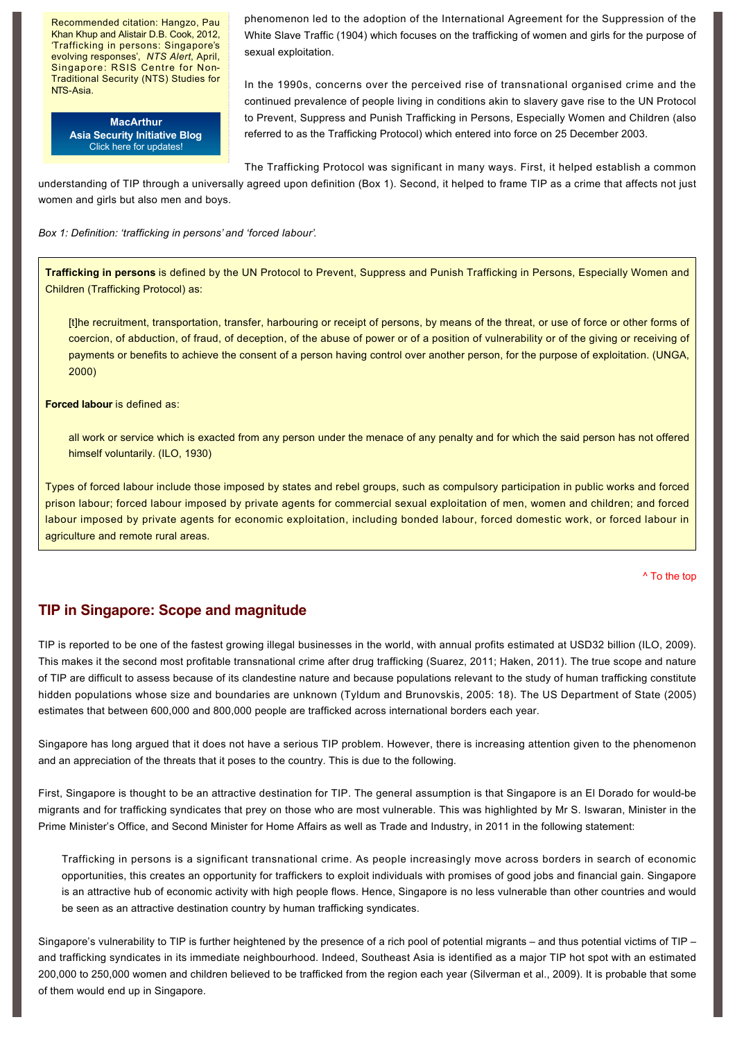Recommended citation: Hangzo, Pau Khan Khup and Alistair D.B. Cook, 2012, 'Trafficking in persons: Singapore's evolving responses', *NTS Alert*, April, Singapore: RSIS Centre for Non-Traditional Security (NTS) Studies for NTS-Asia.

> **MacArthur [Asia Security Initiative Blog](http://www.asicluster3.com/blog_self/index.php)** Click here for updates!

phenomenon led to the adoption of the International Agreement for the Suppression of the White Slave Traffic (1904) which focuses on the trafficking of women and girls for the purpose of sexual exploitation.

In the 1990s, concerns over the perceived rise of transnational organised crime and the continued prevalence of people living in conditions akin to slavery gave rise to the UN Protocol to Prevent, Suppress and Punish Trafficking in Persons, Especially Women and Children (also referred to as the Trafficking Protocol) which entered into force on 25 December 2003.

The Trafficking Protocol was significant in many ways. First, it helped establish a common understanding of TIP through a universally agreed upon definition (Box 1). Second, it helped to frame TIP as a crime that affects not just women and girls but also men and boys.

*Box 1: Definition: 'trafficking in persons' and 'forced labour'.*

**Trafficking in persons** is defined by the UN Protocol to Prevent, Suppress and Punish Trafficking in Persons, Especially Women and Children (Trafficking Protocol) as:

[t]he recruitment, transportation, transfer, harbouring or receipt of persons, by means of the threat, or use of force or other forms of coercion, of abduction, of fraud, of deception, of the abuse of power or of a position of vulnerability or of the giving or receiving of payments or benefits to achieve the consent of a person having control over another person, for the purpose of exploitation. (UNGA, 2000)

**Forced labour** is defined as:

all work or service which is exacted from any person under the menace of any penalty and for which the said person has not offered himself voluntarily. (ILO, 1930)

Types of forced labour include those imposed by states and rebel groups, such as compulsory participation in public works and forced prison labour; forced labour imposed by private agents for commercial sexual exploitation of men, women and children; and forced labour imposed by private agents for economic exploitation, including bonded labour, forced domestic work, or forced labour in agriculture and remote rural areas.

[^ To the top](#page-0-0)

### **TIP in Singapore: Scope and magnitude**

TIP is reported to be one of the fastest growing illegal businesses in the world, with annual profits estimated at USD32 billion (ILO, 2009). This makes it the second most profitable transnational crime after drug trafficking (Suarez, 2011; Haken, 2011). The true scope and nature of TIP are difficult to assess because of its clandestine nature and because populations relevant to the study of human trafficking constitute hidden populations whose size and boundaries are unknown (Tyldum and Brunovskis, 2005: 18). The US Department of State (2005) estimates that between 600,000 and 800,000 people are trafficked across international borders each year.

Singapore has long argued that it does not have a serious TIP problem. However, there is increasing attention given to the phenomenon and an appreciation of the threats that it poses to the country. This is due to the following.

First, Singapore is thought to be an attractive destination for TIP. The general assumption is that Singapore is an El Dorado for would-be migrants and for trafficking syndicates that prey on those who are most vulnerable. This was highlighted by Mr S. Iswaran, Minister in the Prime Minister's Office, and Second Minister for Home Affairs as well as Trade and Industry, in 2011 in the following statement:

Trafficking in persons is a significant transnational crime. As people increasingly move across borders in search of economic opportunities, this creates an opportunity for traffickers to exploit individuals with promises of good jobs and financial gain. Singapore is an attractive hub of economic activity with high people flows. Hence, Singapore is no less vulnerable than other countries and would be seen as an attractive destination country by human trafficking syndicates.

Singapore's vulnerability to TIP is further heightened by the presence of a rich pool of potential migrants – and thus potential victims of TIP – and trafficking syndicates in its immediate neighbourhood. Indeed, Southeast Asia is identified as a major TIP hot spot with an estimated 200,000 to 250,000 women and children believed to be trafficked from the region each year (Silverman et al., 2009). It is probable that some of them would end up in Singapore.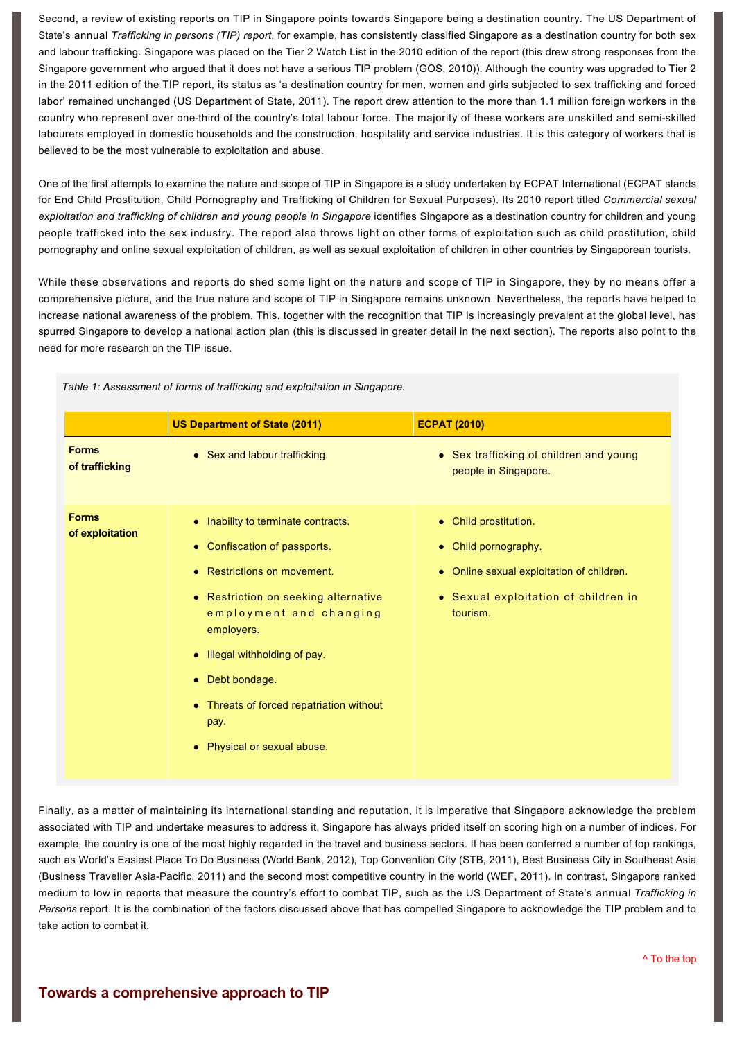Second, a review of existing reports on TIP in Singapore points towards Singapore being a destination country. The US Department of State's annual *Trafficking in persons (TIP) report*, for example, has consistently classified Singapore as a destination country for both sex and labour trafficking. Singapore was placed on the Tier 2 Watch List in the 2010 edition of the report (this drew strong responses from the Singapore government who argued that it does not have a serious TIP problem (GOS, 2010)). Although the country was upgraded to Tier 2 in the 2011 edition of the TIP report, its status as 'a destination country for men, women and girls subjected to sex trafficking and forced labor' remained unchanged (US Department of State, 2011). The report drew attention to the more than 1.1 million foreign workers in the country who represent over one-third of the country's total labour force. The majority of these workers are unskilled and semi-skilled labourers employed in domestic households and the construction, hospitality and service industries. It is this category of workers that is believed to be the most vulnerable to exploitation and abuse.

One of the first attempts to examine the nature and scope of TIP in Singapore is a study undertaken by ECPAT International (ECPAT stands for End Child Prostitution, Child Pornography and Trafficking of Children for Sexual Purposes). Its 2010 report titled *Commercial sexual exploitation and trafficking of children and young people in Singapore* identifies Singapore as a destination country for children and young people trafficked into the sex industry. The report also throws light on other forms of exploitation such as child prostitution, child pornography and online sexual exploitation of children, as well as sexual exploitation of children in other countries by Singaporean tourists.

While these observations and reports do shed some light on the nature and scope of TIP in Singapore, they by no means offer a comprehensive picture, and the true nature and scope of TIP in Singapore remains unknown. Nevertheless, the reports have helped to increase national awareness of the problem. This, together with the recognition that TIP is increasingly prevalent at the global level, has spurred Singapore to develop a national action plan (this is discussed in greater detail in the next section). The reports also point to the need for more research on the TIP issue.

|                                 | <b>US Department of State (2011)</b>                                                                                                                                                                                                                                                                               | <b>ECPAT (2010)</b>                                                                                                                                       |
|---------------------------------|--------------------------------------------------------------------------------------------------------------------------------------------------------------------------------------------------------------------------------------------------------------------------------------------------------------------|-----------------------------------------------------------------------------------------------------------------------------------------------------------|
| <b>Forms</b><br>of trafficking  | • Sex and labour trafficking.                                                                                                                                                                                                                                                                                      | • Sex trafficking of children and young<br>people in Singapore.                                                                                           |
| <b>Forms</b><br>of exploitation | • Inability to terminate contracts.<br>• Confiscation of passports.<br>Restrictions on movement.<br>• Restriction on seeking alternative<br>employment and changing<br>employers.<br>• Illegal withholding of pay.<br>Debt bondage.<br>Threats of forced repatriation without<br>pay.<br>Physical or sexual abuse. | • Child prostitution.<br>• Child pornography.<br>Online sexual exploitation of children.<br>$\bullet$<br>• Sexual exploitation of children in<br>tourism. |

*Table 1: Assessment of forms of trafficking and exploitation in Singapore.* 

Finally, as a matter of maintaining its international standing and reputation, it is imperative that Singapore acknowledge the problem associated with TIP and undertake measures to address it. Singapore has always prided itself on scoring high on a number of indices. For example, the country is one of the most highly regarded in the travel and business sectors. It has been conferred a number of top rankings, such as World's Easiest Place To Do Business (World Bank, 2012), Top Convention City (STB, 2011), Best Business City in Southeast Asia (Business Traveller Asia-Pacific, 2011) and the second most competitive country in the world (WEF, 2011). In contrast, Singapore ranked medium to low in reports that measure the country's effort to combat TIP, such as the US Department of State's annual *Trafficking in Persons* report. It is the combination of the factors discussed above that has compelled Singapore to acknowledge the TIP problem and to take action to combat it.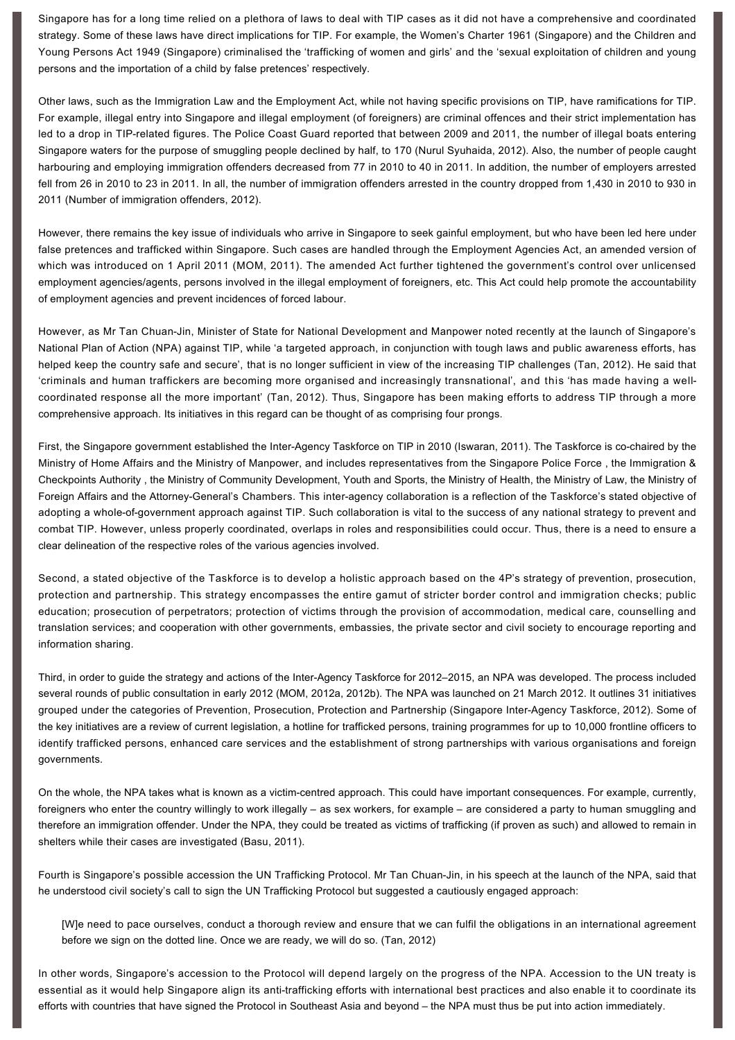Singapore has for a long time relied on a plethora of laws to deal with TIP cases as it did not have a comprehensive and coordinated strategy. Some of these laws have direct implications for TIP. For example, the Women's Charter 1961 (Singapore) and the Children and Young Persons Act 1949 (Singapore) criminalised the 'trafficking of women and girls' and the 'sexual exploitation of children and young persons and the importation of a child by false pretences' respectively.

Other laws, such as the Immigration Law and the Employment Act, while not having specific provisions on TIP, have ramifications for TIP. For example, illegal entry into Singapore and illegal employment (of foreigners) are criminal offences and their strict implementation has led to a drop in TIP-related figures. The Police Coast Guard reported that between 2009 and 2011, the number of illegal boats entering Singapore waters for the purpose of smuggling people declined by half, to 170 (Nurul Syuhaida, 2012). Also, the number of people caught harbouring and employing immigration offenders decreased from 77 in 2010 to 40 in 2011. In addition, the number of employers arrested fell from 26 in 2010 to 23 in 2011. In all, the number of immigration offenders arrested in the country dropped from 1,430 in 2010 to 930 in 2011 (Number of immigration offenders, 2012).

However, there remains the key issue of individuals who arrive in Singapore to seek gainful employment, but who have been led here under false pretences and trafficked within Singapore. Such cases are handled through the Employment Agencies Act, an amended version of which was introduced on 1 April 2011 (MOM, 2011). The amended Act further tightened the government's control over unlicensed employment agencies/agents, persons involved in the illegal employment of foreigners, etc. This Act could help promote the accountability of employment agencies and prevent incidences of forced labour.

However, as Mr Tan Chuan-Jin, Minister of State for National Development and Manpower noted recently at the launch of Singapore's National Plan of Action (NPA) against TIP, while 'a targeted approach, in conjunction with tough laws and public awareness efforts, has helped keep the country safe and secure', that is no longer sufficient in view of the increasing TIP challenges (Tan, 2012). He said that 'criminals and human traffickers are becoming more organised and increasingly transnational', and this 'has made having a wellcoordinated response all the more important' (Tan, 2012). Thus, Singapore has been making efforts to address TIP through a more comprehensive approach. Its initiatives in this regard can be thought of as comprising four prongs.

First, the Singapore government established the Inter-Agency Taskforce on TIP in 2010 (Iswaran, 2011). The Taskforce is co-chaired by the Ministry of Home Affairs and the Ministry of Manpower, and includes representatives from the Singapore Police Force , the Immigration & Checkpoints Authority , the Ministry of Community Development, Youth and Sports, the Ministry of Health, the Ministry of Law, the Ministry of Foreign Affairs and the Attorney-General's Chambers. This inter-agency collaboration is a reflection of the Taskforce's stated objective of adopting a whole-of-government approach against TIP. Such collaboration is vital to the success of any national strategy to prevent and combat TIP. However, unless properly coordinated, overlaps in roles and responsibilities could occur. Thus, there is a need to ensure a clear delineation of the respective roles of the various agencies involved.

Second, a stated objective of the Taskforce is to develop a holistic approach based on the 4P's strategy of prevention, prosecution, protection and partnership. This strategy encompasses the entire gamut of stricter border control and immigration checks; public education; prosecution of perpetrators; protection of victims through the provision of accommodation, medical care, counselling and translation services; and cooperation with other governments, embassies, the private sector and civil society to encourage reporting and information sharing.

Third, in order to guide the strategy and actions of the Inter-Agency Taskforce for 2012–2015, an NPA was developed. The process included several rounds of public consultation in early 2012 (MOM, 2012a, 2012b). The NPA was launched on 21 March 2012. It outlines 31 initiatives grouped under the categories of Prevention, Prosecution, Protection and Partnership (Singapore InterAgency Taskforce, 2012). Some of the key initiatives are a review of current legislation, a hotline for trafficked persons, training programmes for up to 10,000 frontline officers to identify trafficked persons, enhanced care services and the establishment of strong partnerships with various organisations and foreign governments.

On the whole, the NPA takes what is known as a victim-centred approach. This could have important consequences. For example, currently, foreigners who enter the country willingly to work illegally – as sex workers, for example – are considered a party to human smuggling and therefore an immigration offender. Under the NPA, they could be treated as victims of trafficking (if proven as such) and allowed to remain in shelters while their cases are investigated (Basu, 2011).

Fourth is Singapore's possible accession the UN Trafficking Protocol. Mr Tan Chuan-Jin, in his speech at the launch of the NPA, said that he understood civil society's call to sign the UN Trafficking Protocol but suggested a cautiously engaged approach:

[W]e need to pace ourselves, conduct a thorough review and ensure that we can fulfil the obligations in an international agreement before we sign on the dotted line. Once we are ready, we will do so. (Tan, 2012)

In other words, Singapore's accession to the Protocol will depend largely on the progress of the NPA. Accession to the UN treaty is essential as it would help Singapore align its anti-trafficking efforts with international best practices and also enable it to coordinate its efforts with countries that have signed the Protocol in Southeast Asia and beyond – the NPA must thus be put into action immediately.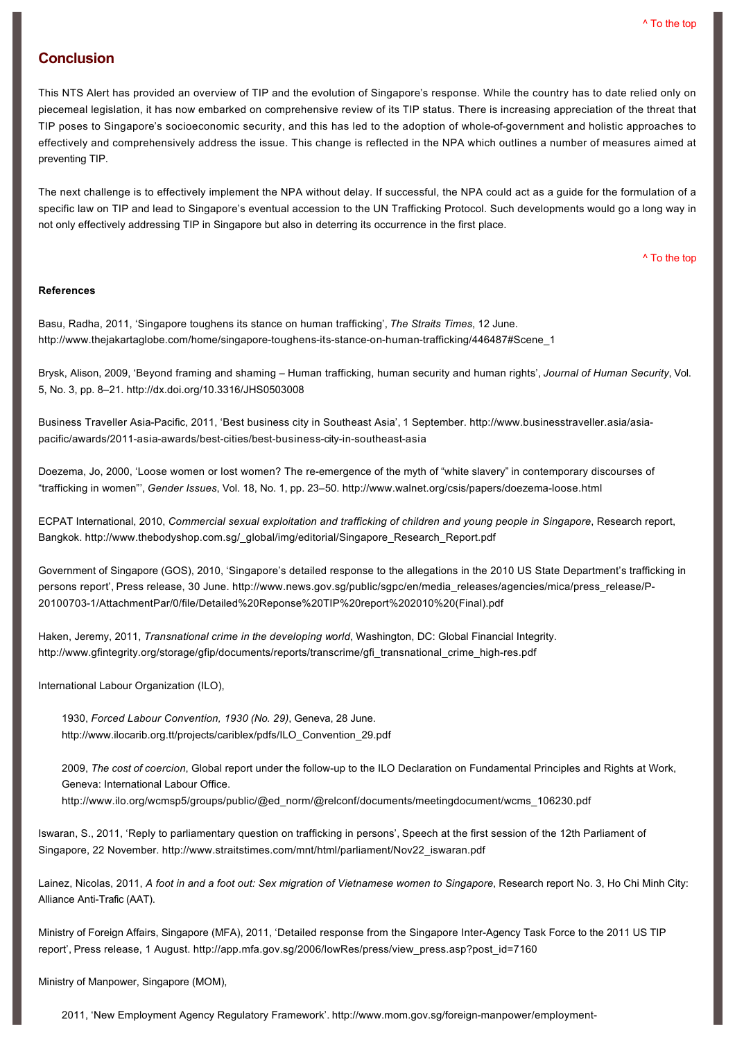#### **Conclusion**

This NTS Alert has provided an overview of TIP and the evolution of Singapore's response. While the country has to date relied only on piecemeal legislation, it has now embarked on comprehensive review of its TIP status. There is increasing appreciation of the threat that TIP poses to Singapore's socioeconomic security, and this has led to the adoption of whole-of-government and holistic approaches to effectively and comprehensively address the issue. This change is reflected in the NPA which outlines a number of measures aimed at preventing TIP.

The next challenge is to effectively implement the NPA without delay. If successful, the NPA could act as a guide for the formulation of a specific law on TIP and lead to Singapore's eventual accession to the UN Trafficking Protocol. Such developments would go a long way in not only effectively addressing TIP in Singapore but also in deterring its occurrence in the first place.

[^ To the top](#page-0-0)

#### **References**

Basu, Radha, 2011, 'Singapore toughens its stance on human trafficking', *The Straits Times*, 12 June. http://www.thejakartaglobe.com/home/singapore-toughens-its-stance-on-human-trafficking/446487#Scene\_1

Brysk, Alison, 2009, 'Beyond framing and shaming – Human trafficking, human security and human rights', *Journal of Human Security*, Vol. 5, No. 3, pp. 8–21. <http://dx.doi.org/10.3316/JHS0503008>

Business Traveller Asia-Pacific, 2011, 'Best business city in Southeast Asia', 1 September. http://www.businesstraveller.asia/asiapacific/awards/2011-asia-awards/best-cities/best-business-city-in-southeast-asia

Doezema, Jo. 2000, 'Loose women or lost women? The re-emergence of the myth of "white slavery" in contemporary discourses of "trafficking in women"', *Gender Issues*, Vol. 18, No. 1, pp. 23–50. [http://www.walnet.org/csis/papers/doezemaloose.html](http://www.walnet.org/csis/papers/doezema-loose.html)

ECPAT International, 2010, *Commercial sexual exploitation and trafficking of children and young people in Singapore*, Research report, Bangkok. [http://www.thebodyshop.com.sg/\\_global/img/editorial/Singapore\\_Research\\_Report.pdf](http://www.thebodyshop.com.sg/_global/img/editorial/Singapore_Research_Report.pdf)

Government of Singapore (GOS), 2010, 'Singapore's detailed response to the allegations in the 2010 US State Department's trafficking in [persons report', Press release, 30 June. http://www.news.gov.sg/public/sgpc/en/media\\_releases/agencies/mica/press\\_release/P-](http://www.news.gov.sg/public/sgpc/en/media_releases/agencies/mica/press_release/P-20100703-1/AttachmentPar/0/file/Detailed%20Reponse%20TIP%20report%202010%20(Final).pdf)201007031/AttachmentPar/0/file/Detailed%20Reponse%20TIP%20report%202010%20(Final).pdf

Haken, Jeremy, 2011, *Transnational crime in the developing world*, Washington, DC: Global Financial Integrity. http://www.gfintegrity.org/storage/gfip/documents/reports/transcrime/gfi\_transnational\_crime\_high-res.pdf

International Labour Organization (ILO).

1930, *Forced Labour Convention, 1930 (No. 29)*, Geneva, 28 June. [http://www.ilocarib.org.tt/projects/cariblex/pdfs/ILO\\_Convention\\_29.pdf](http://www.ilocarib.org.tt/projects/cariblex/pdfs/ILO_Convention_29.pdf)

2009, *The cost of coercion*, Global report under the followup to the ILO Declaration on Fundamental Principles and Rights at Work, Geneva: International Labour Office.

[http://www.ilo.org/wcmsp5/groups/public/@ed\\_norm/@relconf/documents/meetingdocument/wcms\\_106230.pdf](http://www.ilo.org/wcmsp5/groups/public/@ed_norm/@relconf/documents/meetingdocument/wcms_106230.pdf)

Iswaran, S., 2011, 'Reply to parliamentary question on trafficking in persons', Speech at the first session of the 12th Parliament of Singapore, 22 November. [http://www.straitstimes.com/mnt/html/parliament/Nov22\\_iswaran.pdf](http://www.straitstimes.com/mnt/html/parliament/Nov22_iswaran.pdf)

Lainez, Nicolas, 2011, *A foot in and a foot out: Sex migration of Vietnamese women to Singapore*, Research report No. 3, Ho Chi Minh City: Alliance Anti-Trafic (AAT).

Ministry of Foreign Affairs, Singapore (MFA), 2011, 'Detailed response from the Singapore Inter-Agency Task Force to the 2011 US TIP report', Press release, 1 August. [http://app.mfa.gov.sg/2006/lowRes/press/view\\_press.asp?post\\_id=7160](http://app.mfa.gov.sg/2006/lowRes/press/view_press.asp?post_id=7160)

Ministry of Manpower, Singapore (MOM),

2011, 'New Employment Agency Regulatory Framework'. http://www.mom.gov.sg/foreign-manpower/employment-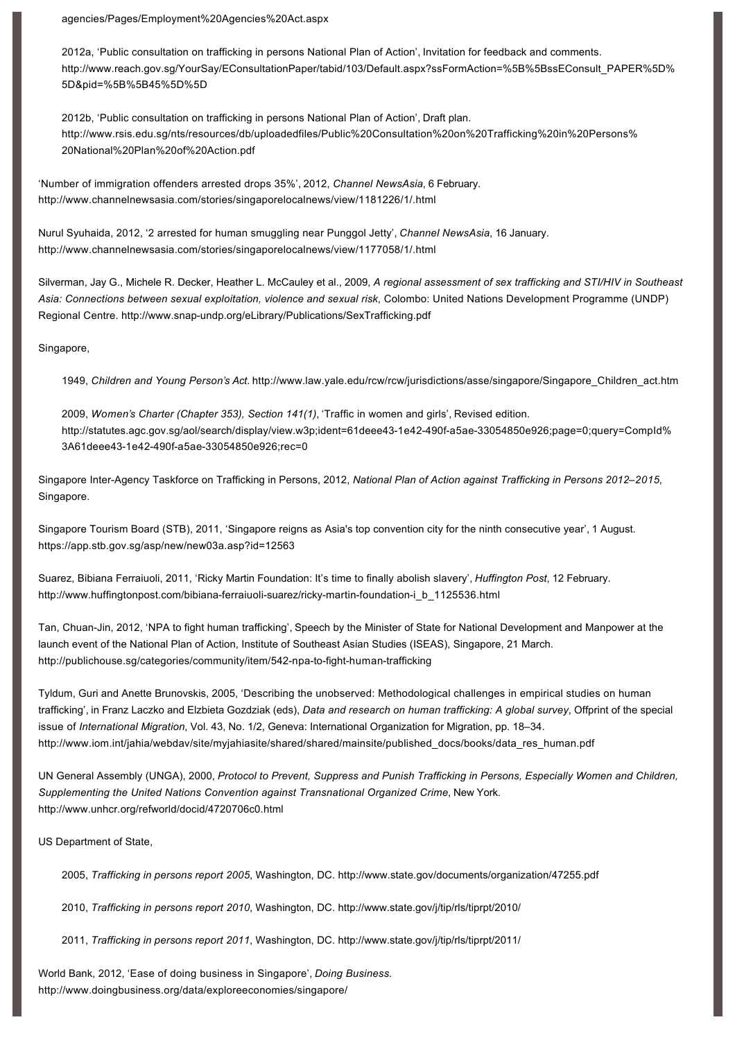[agencies/Pages/Employment%20Agencies%20Act.aspx](http://www.mom.gov.sg/foreign-manpower/employment-agencies/Pages/Employment%20Agencies%20Act.aspx)

2012a, 'Public consultation on trafficking in persons National Plan of Action', Invitation for feedback and comments. [http://www.reach.gov.sg/YourSay/EConsultationPaper/tabid/103/Default.aspx?ssFormAction=%5B%5BssEConsult\\_PAPER%5D%](http://www.reach.gov.sg/YourSay/EConsultationPaper/tabid/103/Default.aspx?ssFormAction=%5B%5BssEConsult_PAPER%5D%5D&pid=%5B%5B45%5D%5D) 5D&pid=%5B%5B45%5D%5D

2012b, 'Public consultation on trafficking in persons National Plan of Action', Draft plan. [http://www.rsis.edu.sg/nts/resources/db/uploadedfiles/Public%20Consultation%20on%20Trafficking%20in%20Persons%](http://www.rsis.edu.sg/nts/resources/db/uploadedfiles/Public%20Consultation%20on%20Trafficking%20in%20Persons%20National%20Plan%20of%20Action.pdf) 20National%20Plan%20of%20Action.pdf

'Number of immigration offenders arrested drops 35%', 2012, *Channel NewsAsia*, 6 February. <http://www.channelnewsasia.com/stories/singaporelocalnews/view/1181226/1/.html>

Nurul Syuhaida, 2012, '2 arrested for human smuggling near Punggol Jetty', *Channel NewsAsia*, 16 January. <http://www.channelnewsasia.com/stories/singaporelocalnews/view/1177058/1/.html>

Silverman, Jay G., Michele R. Decker, Heather L. McCauley et al., 2009, *A regional assessment of sex trafficking and STI/HIV in Southeast Asia: Connections between sexual exploitation, violence and sexual risk*, Colombo: United Nations Development Programme (UNDP) Regional Centre. http://www.snap-undp.org/eLibrary/Publications/SexTrafficking.pdf

Singapore,

1949, *Children and Young Person's Act*. [http://www.law.yale.edu/rcw/rcw/jurisdictions/asse/singapore/Singapore\\_Children\\_act.htm](http://www.law.yale.edu/rcw/rcw/jurisdictions/asse/singapore/Singapore_Children_act.htm)

2009, *Women's Charter (Chapter 353), Section 141(1)*, 'Traffic in women and girls', Revised edition. http://statutes.agc.gov.sg/aol/search/display/view.w3p;ident=61deee43-1e42-490f-a5ae-33054850e926;page=0;query=CompId% 3A61deee43-1e42-490f-a5ae-33054850e926;rec=0

Singapore InterAgency Taskforce on Trafficking in Persons, 2012, *National Plan of Action against Trafficking in Persons 2012–2015*, Singapore.

Singapore Tourism Board (STB), 2011, 'Singapore reigns as Asia's top convention city for the ninth consecutive year', 1 August. <https://app.stb.gov.sg/asp/new/new03a.asp?id=12563>

Suarez, Bibiana Ferraiuoli, 2011, 'Ricky Martin Foundation: It's time to finally abolish slavery', *Huffington Post*, 12 February. http://www.huffingtonpost.com/bibiana-ferraiuoli-suarez/ricky-martin-foundation-i\_b\_1125536.html

Tan, Chuan-Jin, 2012, 'NPA to fight human trafficking', Speech by the Minister of State for National Development and Manpower at the launch event of the National Plan of Action, Institute of Southeast Asian Studies (ISEAS), Singapore, 21 March. http://publichouse.sg/categories/community/item/542-npa-to-fight-human-trafficking

Tyldum, Guri and Anette Brunovskis, 2005, 'Describing the unobserved: Methodological challenges in empirical studies on human trafficking', in Franz Laczko and Elzbieta Gozdziak (eds), *Data and research on human trafficking: A global survey*, Offprint of the special issue of *International Migration*, Vol. 43, No. 1/2, Geneva: International Organization for Migration, pp. 18–34. [http://www.iom.int/jahia/webdav/site/myjahiasite/shared/shared/mainsite/published\\_docs/books/data\\_res\\_human.pdf](http://www.iom.int/jahia/webdav/site/myjahiasite/shared/shared/mainsite/published_docs/books/data_res_human.pdf)

UN General Assembly (UNGA), 2000, *Protocol to Prevent, Suppress and Punish Trafficking in Persons, Especially Women and Children, Supplementing the United Nations Convention against Transnational Organized Crime*, New York. <http://www.unhcr.org/refworld/docid/4720706c0.html>

US Department of State,

2005, *Trafficking in persons report 2005*, Washington, DC. <http://www.state.gov/documents/organization/47255.pdf>

2010, *Trafficking in persons report 2010*, Washington, DC. <http://www.state.gov/j/tip/rls/tiprpt/2010/>

2011, *Trafficking in persons report 2011*, Washington, DC. <http://www.state.gov/j/tip/rls/tiprpt/2011/>

World Bank, 2012, 'Ease of doing business in Singapore', *Doing Business*. <http://www.doingbusiness.org/data/exploreeconomies/singapore/>